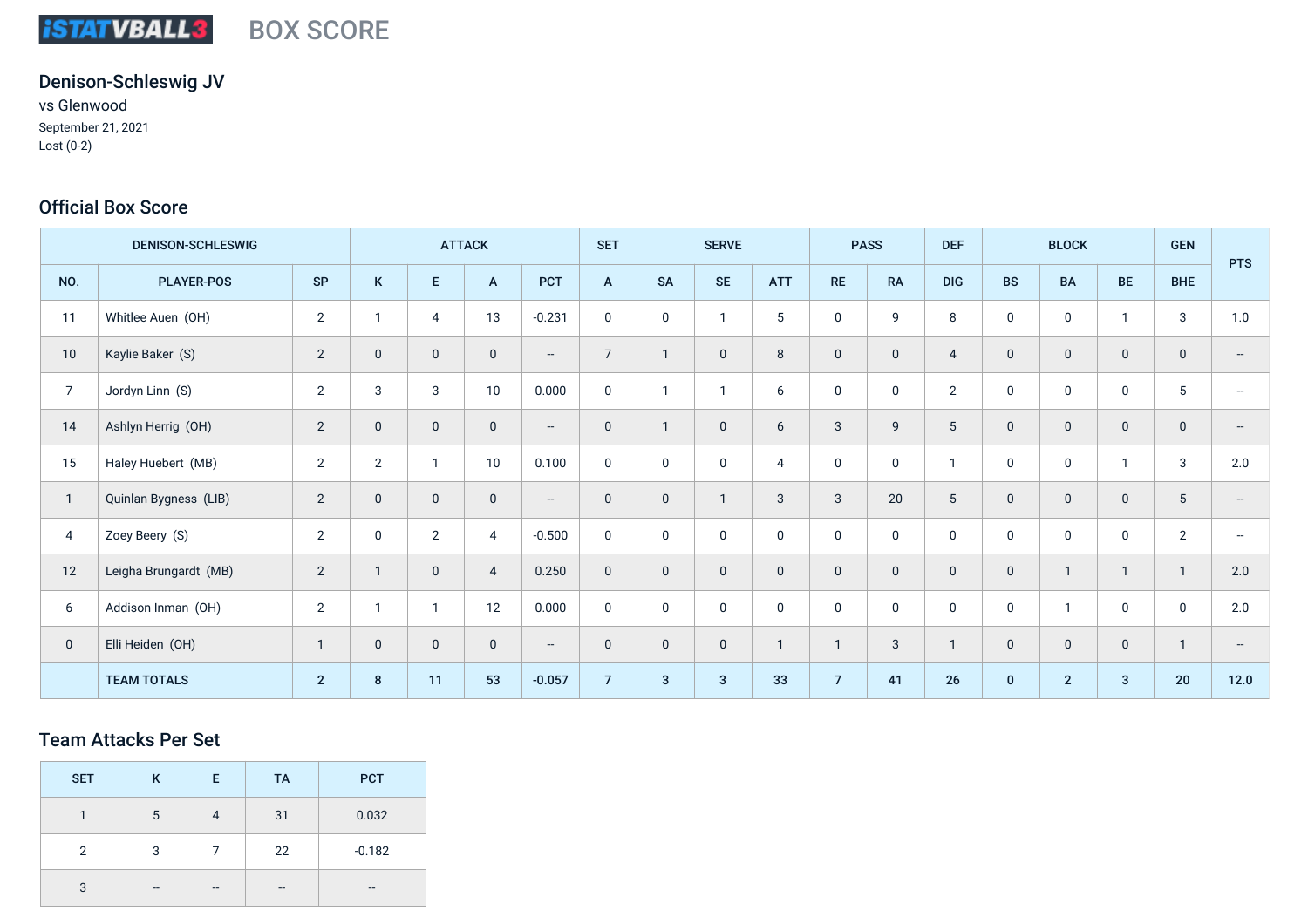#### **iSTATVBALL3** BOX SCORE

# Denison-Schleswig JV

vs Glenwood September 21, 2021 Lost (0-2)

## Official Box Score

| <b>DENISON-SCHLESWIG</b> |                       |                | <b>ATTACK</b>  |                     |                | <b>SET</b>               | <b>SERVE</b>   |              | <b>PASS</b>    |              | <b>DEF</b>     | <b>BLOCK</b> |                 | <b>GEN</b>   | <b>PTS</b>     |              |              |                          |
|--------------------------|-----------------------|----------------|----------------|---------------------|----------------|--------------------------|----------------|--------------|----------------|--------------|----------------|--------------|-----------------|--------------|----------------|--------------|--------------|--------------------------|
| NO.                      | <b>PLAYER-POS</b>     | <b>SP</b>      | K              | $\mathsf{E}$        | A              | <b>PCT</b>               | $\overline{A}$ | <b>SA</b>    | <b>SE</b>      | <b>ATT</b>   | <b>RE</b>      | <b>RA</b>    | <b>DIG</b>      | <b>BS</b>    | <b>BA</b>      | BE           | <b>BHE</b>   |                          |
| 11                       | Whitlee Auen (OH)     | $\overline{2}$ | $\mathbf{1}$   | $\overline{4}$      | 13             | $-0.231$                 | $\pmb{0}$      | $\mathbf 0$  | $\mathbf{1}$   | 5            | $\mathbf 0$    | 9            | 8               | $\mathbf 0$  | $\mathbf 0$    | $\mathbf{1}$ | 3            | 1.0                      |
| 10                       | Kaylie Baker (S)      | $\overline{2}$ | $\mathbf 0$    | $\mathsf{O}\xspace$ | $\mathbf 0$    | $\overline{\phantom{a}}$ | $\overline{7}$ | $\mathbf{1}$ | $\mathbf 0$    | 8            | $\pmb{0}$      | $\mathsf 0$  | $\overline{4}$  | $\mathbf 0$  | $\mathbf 0$    | $\mathbf 0$  | $\pmb{0}$    |                          |
| $\overline{7}$           | Jordyn Linn (S)       | $\overline{2}$ | 3              | 3                   | 10             | 0.000                    | $\mathbf 0$    | $\mathbf{1}$ | $\mathbf{1}$   | 6            | $\mathbf 0$    | $\mathbf 0$  | 2               | $\mathbf 0$  | $\mathbf 0$    | $\mathbf 0$  | 5            |                          |
| 14                       | Ashlyn Herrig (OH)    | $\overline{2}$ | $\mathbf 0$    | $\mathbf 0$         | $\mathbf 0$    | $\overline{\phantom{a}}$ | $\mathbf 0$    |              | $\mathbf 0$    | 6            | 3              | 9            | $5\phantom{.0}$ | $\mathbf 0$  | $\mathbf 0$    | $\mathbf 0$  | $\mathbf 0$  |                          |
| 15                       | Haley Huebert (MB)    | $\mathbf{2}$   | $\overline{2}$ | $\mathbf{1}$        | 10             | 0.100                    | $\mathbf 0$    | $\pmb{0}$    | $\mathbf 0$    | 4            | $\mathbf 0$    | $\mathbf 0$  | $\mathbf{1}$    | $\mathbf 0$  | $\mathbf 0$    | $\mathbf{1}$ | 3            | 2.0                      |
| $\mathbf{1}$             | Quinlan Bygness (LIB) | $\overline{2}$ | $\mathbf 0$    | $\mathbf 0$         | $\mathbf 0$    | $\overline{\phantom{m}}$ | $\pmb{0}$      | $\mathbf 0$  | $\overline{1}$ | 3            | $\sqrt{3}$     | 20           | $5\phantom{.0}$ | $\mathbf 0$  | $\mathbf 0$    | $\mathbf 0$  | $\sqrt{5}$   |                          |
| 4                        | Zoey Beery (S)        | $\overline{2}$ | $\mathbf 0$    | $\overline{2}$      | $\overline{4}$ | $-0.500$                 | $\pmb{0}$      | $\mathbf 0$  | $\mathbf 0$    | $\mathbf 0$  | $\mathbf 0$    | $\mathbf 0$  | $\mathbf 0$     | $\mathbf 0$  | $\mathbf 0$    | $\mathbf 0$  | $\sqrt{2}$   |                          |
| 12                       | Leigha Brungardt (MB) | $\overline{2}$ | $\overline{1}$ | $\mathbf 0$         | $\overline{4}$ | 0.250                    | $\pmb{0}$      | $\mathbf 0$  | $\mathbf 0$    | $\mathbf 0$  | $\mathbf 0$    | $\mathbf 0$  | $\mathbf 0$     | $\mathbf 0$  | $\mathbf{1}$   | $\mathbf{1}$ | $\mathbf{1}$ | 2.0                      |
| 6                        | Addison Inman (OH)    | $\overline{2}$ | $\mathbf{1}$   | $\mathbf{1}$        | 12             | 0.000                    | $\pmb{0}$      | $\mathbf 0$  | $\mathbf 0$    | $\mathbf 0$  | $\mathbf 0$    | $\mathbf 0$  | $\mathbf 0$     | $\mathbf 0$  | $\mathbf{1}$   | $\mathbf 0$  | $\mathbf 0$  | 2.0                      |
| $\mathbf 0$              | Elli Heiden (OH)      | $\mathbf{1}$   | $\mathbf 0$    | $\mathbf 0$         | $\mathbf 0$    | $\overline{\phantom{a}}$ | $\mathbf 0$    | $\mathbf 0$  | $\mathbf 0$    | $\mathbf{1}$ | $\overline{1}$ | 3            | $\mathbf{1}$    | $\mathbf 0$  | $\mathbf 0$    | $\mathbf 0$  | $\mathbf{1}$ | $\overline{\phantom{a}}$ |
|                          | <b>TEAM TOTALS</b>    | $2^{\circ}$    | 8              | 11                  | 53             | $-0.057$                 | $\overline{7}$ | $\mathbf{3}$ | 3              | 33           | $\overline{7}$ | 41           | 26              | $\mathbf{0}$ | $\overline{2}$ | $\mathbf{3}$ | 20           | $12.0$                   |

### Team Attacks Per Set

| <b>SET</b> | K  | E. | <b>TA</b> | <b>PCT</b>               |
|------------|----|----|-----------|--------------------------|
| 1          | 5  | 4  | 31        | 0.032                    |
| 2          | 3  |    | 22        | $-0.182$                 |
| 3          | -- | -- | --        | $\overline{\phantom{a}}$ |